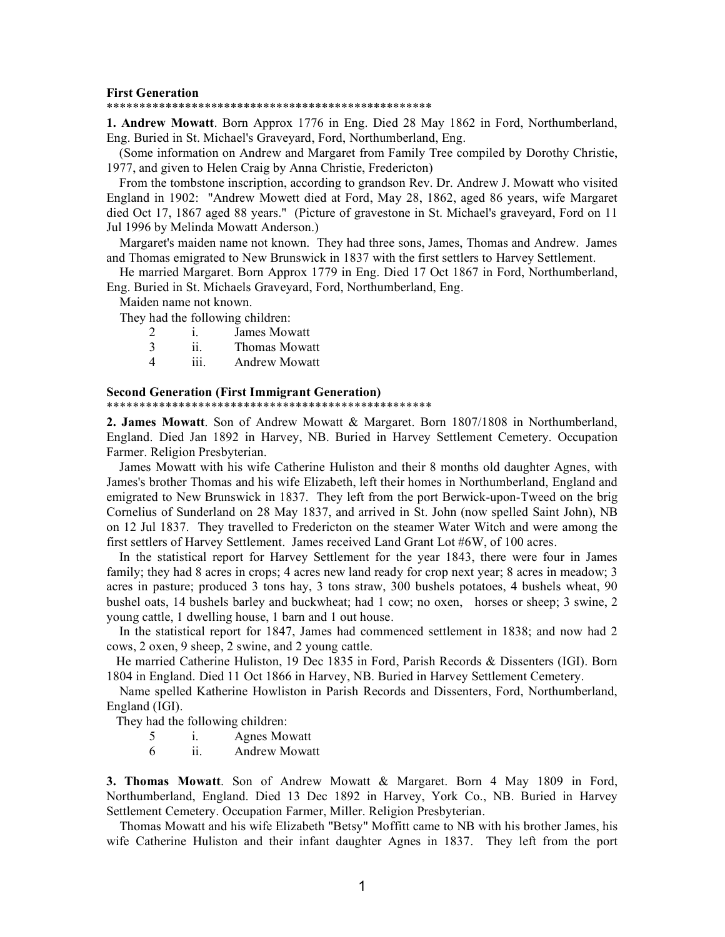### **First Generation**

#### \*\*\*\*\*\*\*\*\*\*\*\*\*\*\*\*\*\*\*\*\*\*\*\*\*\*\*\*\*\*\*\*\*\*\*\*\*\*\*\*\*\*\*\*\*\*\*\*\*\*

**1. Andrew Mowatt**. Born Approx 1776 in Eng. Died 28 May 1862 in Ford, Northumberland, Eng. Buried in St. Michael's Graveyard, Ford, Northumberland, Eng.

(Some information on Andrew and Margaret from Family Tree compiled by Dorothy Christie, 1977, and given to Helen Craig by Anna Christie, Fredericton)

From the tombstone inscription, according to grandson Rev. Dr. Andrew J. Mowatt who visited England in 1902: "Andrew Mowett died at Ford, May 28, 1862, aged 86 years, wife Margaret died Oct 17, 1867 aged 88 years." (Picture of gravestone in St. Michael's graveyard, Ford on 11 Jul 1996 by Melinda Mowatt Anderson.)

Margaret's maiden name not known. They had three sons, James, Thomas and Andrew. James and Thomas emigrated to New Brunswick in 1837 with the first settlers to Harvey Settlement.

He married Margaret. Born Approx 1779 in Eng. Died 17 Oct 1867 in Ford, Northumberland, Eng. Buried in St. Michaels Graveyard, Ford, Northumberland, Eng.

Maiden name not known.

They had the following children:

2 i. James Mowatt 3 ii. Thomas Mowatt 4 iii. Andrew Mowatt

# **Second Generation (First Immigrant Generation)**

### \*\*\*\*\*\*\*\*\*\*\*\*\*\*\*\*\*\*\*\*\*\*\*\*\*\*\*\*\*\*\*\*\*\*\*\*\*\*\*\*\*\*\*\*\*\*\*\*\*\*

**2. James Mowatt**. Son of Andrew Mowatt & Margaret. Born 1807/1808 in Northumberland, England. Died Jan 1892 in Harvey, NB. Buried in Harvey Settlement Cemetery. Occupation Farmer. Religion Presbyterian.

James Mowatt with his wife Catherine Huliston and their 8 months old daughter Agnes, with James's brother Thomas and his wife Elizabeth, left their homes in Northumberland, England and emigrated to New Brunswick in 1837. They left from the port Berwick-upon-Tweed on the brig Cornelius of Sunderland on 28 May 1837, and arrived in St. John (now spelled Saint John), NB on 12 Jul 1837. They travelled to Fredericton on the steamer Water Witch and were among the first settlers of Harvey Settlement. James received Land Grant Lot #6W, of 100 acres.

In the statistical report for Harvey Settlement for the year 1843, there were four in James family; they had 8 acres in crops; 4 acres new land ready for crop next year; 8 acres in meadow; 3 acres in pasture; produced 3 tons hay, 3 tons straw, 300 bushels potatoes, 4 bushels wheat, 90 bushel oats, 14 bushels barley and buckwheat; had 1 cow; no oxen, horses or sheep; 3 swine, 2 young cattle, 1 dwelling house, 1 barn and 1 out house.

In the statistical report for 1847, James had commenced settlement in 1838; and now had 2 cows, 2 oxen, 9 sheep, 2 swine, and 2 young cattle.

He married Catherine Huliston, 19 Dec 1835 in Ford, Parish Records & Dissenters (IGI). Born 1804 in England. Died 11 Oct 1866 in Harvey, NB. Buried in Harvey Settlement Cemetery.

Name spelled Katherine Howliston in Parish Records and Dissenters, Ford, Northumberland, England (IGI).

They had the following children:

5 i. Agnes Mowatt

6 ii. Andrew Mowatt

**3. Thomas Mowatt**. Son of Andrew Mowatt & Margaret. Born 4 May 1809 in Ford, Northumberland, England. Died 13 Dec 1892 in Harvey, York Co., NB. Buried in Harvey Settlement Cemetery. Occupation Farmer, Miller. Religion Presbyterian.

Thomas Mowatt and his wife Elizabeth "Betsy" Moffitt came to NB with his brother James, his wife Catherine Huliston and their infant daughter Agnes in 1837. They left from the port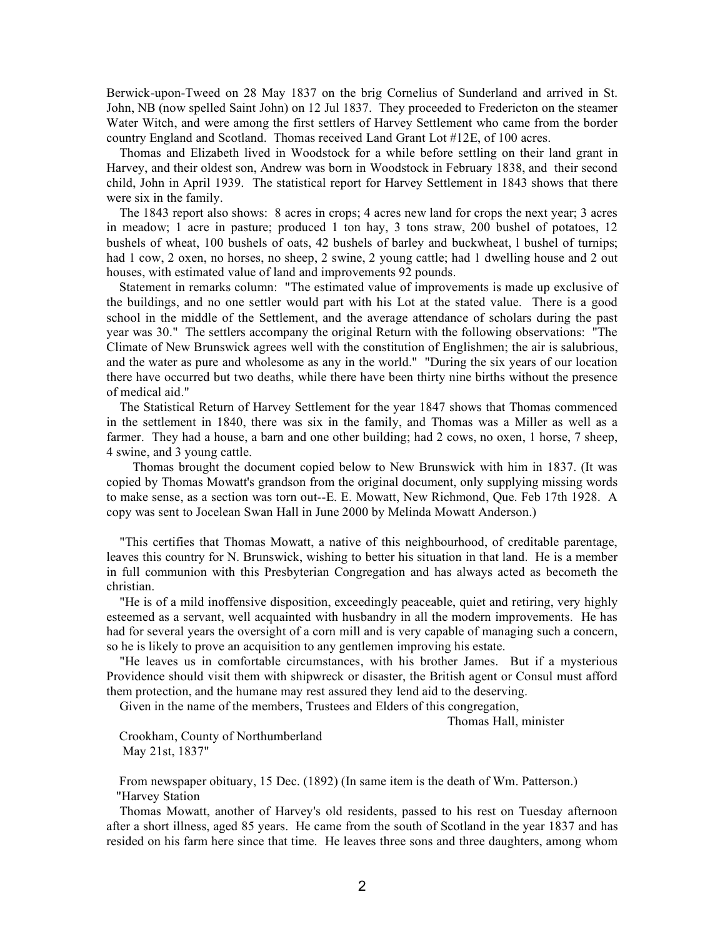Berwick-upon-Tweed on 28 May 1837 on the brig Cornelius of Sunderland and arrived in St. John, NB (now spelled Saint John) on 12 Jul 1837. They proceeded to Fredericton on the steamer Water Witch, and were among the first settlers of Harvey Settlement who came from the border country England and Scotland. Thomas received Land Grant Lot #12E, of 100 acres.

Thomas and Elizabeth lived in Woodstock for a while before settling on their land grant in Harvey, and their oldest son, Andrew was born in Woodstock in February 1838, and their second child, John in April 1939. The statistical report for Harvey Settlement in 1843 shows that there were six in the family.

The 1843 report also shows: 8 acres in crops; 4 acres new land for crops the next year; 3 acres in meadow; 1 acre in pasture; produced 1 ton hay, 3 tons straw, 200 bushel of potatoes, 12 bushels of wheat, 100 bushels of oats, 42 bushels of barley and buckwheat, l bushel of turnips; had 1 cow, 2 oxen, no horses, no sheep, 2 swine, 2 young cattle; had 1 dwelling house and 2 out houses, with estimated value of land and improvements 92 pounds.

Statement in remarks column: "The estimated value of improvements is made up exclusive of the buildings, and no one settler would part with his Lot at the stated value. There is a good school in the middle of the Settlement, and the average attendance of scholars during the past year was 30." The settlers accompany the original Return with the following observations: "The Climate of New Brunswick agrees well with the constitution of Englishmen; the air is salubrious, and the water as pure and wholesome as any in the world." "During the six years of our location there have occurred but two deaths, while there have been thirty nine births without the presence of medical aid."

The Statistical Return of Harvey Settlement for the year 1847 shows that Thomas commenced in the settlement in 1840, there was six in the family, and Thomas was a Miller as well as a farmer. They had a house, a barn and one other building; had 2 cows, no oxen, 1 horse, 7 sheep, 4 swine, and 3 young cattle.

Thomas brought the document copied below to New Brunswick with him in 1837. (It was copied by Thomas Mowatt's grandson from the original document, only supplying missing words to make sense, as a section was torn out--E. E. Mowatt, New Richmond, Que. Feb 17th 1928. A copy was sent to Jocelean Swan Hall in June 2000 by Melinda Mowatt Anderson.)

"This certifies that Thomas Mowatt, a native of this neighbourhood, of creditable parentage, leaves this country for N. Brunswick, wishing to better his situation in that land. He is a member in full communion with this Presbyterian Congregation and has always acted as becometh the christian.

"He is of a mild inoffensive disposition, exceedingly peaceable, quiet and retiring, very highly esteemed as a servant, well acquainted with husbandry in all the modern improvements. He has had for several years the oversight of a corn mill and is very capable of managing such a concern, so he is likely to prove an acquisition to any gentlemen improving his estate.

"He leaves us in comfortable circumstances, with his brother James. But if a mysterious Providence should visit them with shipwreck or disaster, the British agent or Consul must afford them protection, and the humane may rest assured they lend aid to the deserving.

Given in the name of the members, Trustees and Elders of this congregation,

Thomas Hall, minister

Crookham, County of Northumberland May 21st, 1837"

From newspaper obituary, 15 Dec. (1892) (In same item is the death of Wm. Patterson.) "Harvey Station

Thomas Mowatt, another of Harvey's old residents, passed to his rest on Tuesday afternoon after a short illness, aged 85 years. He came from the south of Scotland in the year 1837 and has resided on his farm here since that time. He leaves three sons and three daughters, among whom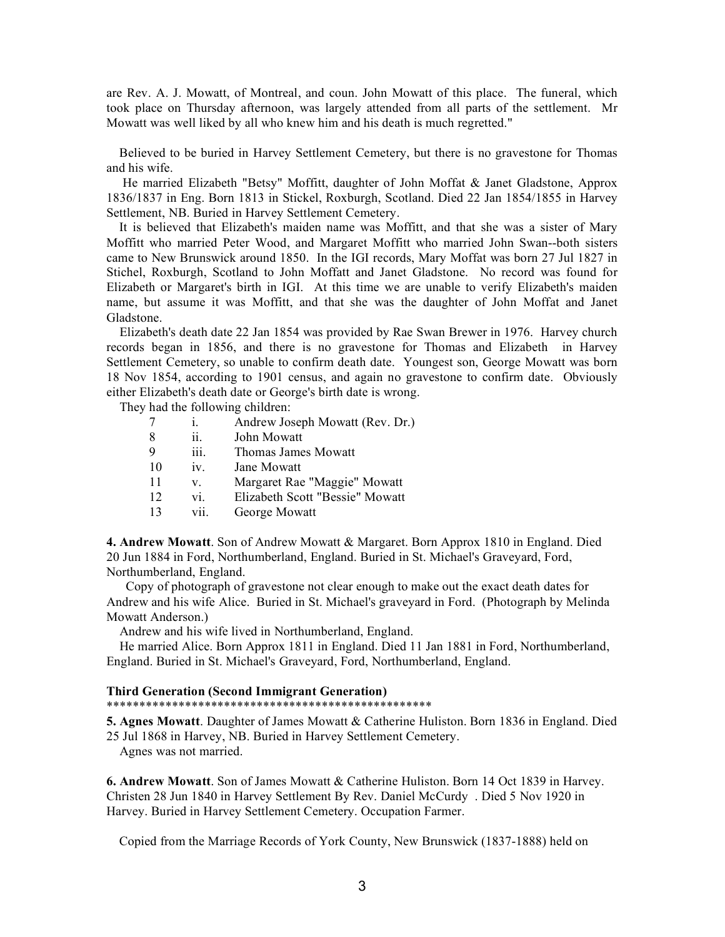are Rev. A. J. Mowatt, of Montreal, and coun. John Mowatt of this place. The funeral, which took place on Thursday afternoon, was largely attended from all parts of the settlement. Mr Mowatt was well liked by all who knew him and his death is much regretted."

Believed to be buried in Harvey Settlement Cemetery, but there is no gravestone for Thomas and his wife.

He married Elizabeth "Betsy" Moffitt, daughter of John Moffat & Janet Gladstone, Approx 1836/1837 in Eng. Born 1813 in Stickel, Roxburgh, Scotland. Died 22 Jan 1854/1855 in Harvey Settlement, NB. Buried in Harvey Settlement Cemetery.

It is believed that Elizabeth's maiden name was Moffitt, and that she was a sister of Mary Moffitt who married Peter Wood, and Margaret Moffitt who married John Swan--both sisters came to New Brunswick around 1850. In the IGI records, Mary Moffat was born 27 Jul 1827 in Stichel, Roxburgh, Scotland to John Moffatt and Janet Gladstone. No record was found for Elizabeth or Margaret's birth in IGI. At this time we are unable to verify Elizabeth's maiden name, but assume it was Moffitt, and that she was the daughter of John Moffat and Janet Gladstone.

Elizabeth's death date 22 Jan 1854 was provided by Rae Swan Brewer in 1976. Harvey church records began in 1856, and there is no gravestone for Thomas and Elizabeth in Harvey Settlement Cemetery, so unable to confirm death date. Youngest son, George Mowatt was born 18 Nov 1854, according to 1901 census, and again no gravestone to confirm date. Obviously either Elizabeth's death date or George's birth date is wrong.

They had the following children:

| 7  | i.   | Andrew Joseph Mowatt (Rev. Dr.) |
|----|------|---------------------------------|
| 8  | ii.  | John Mowatt                     |
| 9  | iii. | Thomas James Mowatt             |
| 10 | 1V.  | Jane Mowatt                     |
| 11 | V.   | Margaret Rae "Maggie" Mowatt    |
| 12 | vi.  | Elizabeth Scott "Bessie" Mowatt |
| 13 | vii. | George Mowatt                   |

**4. Andrew Mowatt**. Son of Andrew Mowatt & Margaret. Born Approx 1810 in England. Died 20 Jun 1884 in Ford, Northumberland, England. Buried in St. Michael's Graveyard, Ford, Northumberland, England.

Copy of photograph of gravestone not clear enough to make out the exact death dates for Andrew and his wife Alice. Buried in St. Michael's graveyard in Ford. (Photograph by Melinda Mowatt Anderson.)

Andrew and his wife lived in Northumberland, England.

He married Alice. Born Approx 1811 in England. Died 11 Jan 1881 in Ford, Northumberland, England. Buried in St. Michael's Graveyard, Ford, Northumberland, England.

## **Third Generation (Second Immigrant Generation)**

\*\*\*\*\*\*\*\*\*\*\*\*\*\*\*\*\*\*\*\*\*\*\*\*\*\*\*\*\*\*\*\*\*\*\*\*\*\*\*\*\*\*\*\*\*\*\*\*\*\*

**5. Agnes Mowatt**. Daughter of James Mowatt & Catherine Huliston. Born 1836 in England. Died 25 Jul 1868 in Harvey, NB. Buried in Harvey Settlement Cemetery.

Agnes was not married.

**6. Andrew Mowatt**. Son of James Mowatt & Catherine Huliston. Born 14 Oct 1839 in Harvey. Christen 28 Jun 1840 in Harvey Settlement By Rev. Daniel McCurdy . Died 5 Nov 1920 in Harvey. Buried in Harvey Settlement Cemetery. Occupation Farmer.

Copied from the Marriage Records of York County, New Brunswick (1837-1888) held on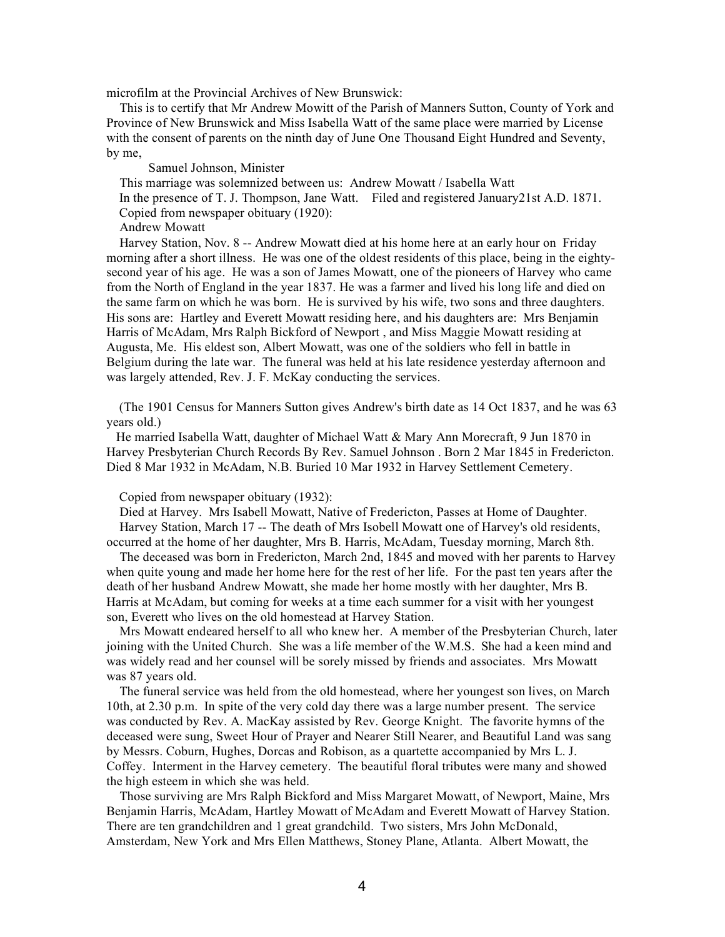microfilm at the Provincial Archives of New Brunswick:

This is to certify that Mr Andrew Mowitt of the Parish of Manners Sutton, County of York and Province of New Brunswick and Miss Isabella Watt of the same place were married by License with the consent of parents on the ninth day of June One Thousand Eight Hundred and Seventy, by me,

Samuel Johnson, Minister

This marriage was solemnized between us: Andrew Mowatt / Isabella Watt

In the presence of T. J. Thompson, Jane Watt. Filed and registered January21st A.D. 1871.

Copied from newspaper obituary (1920):

Andrew Mowatt

Harvey Station, Nov. 8 -- Andrew Mowatt died at his home here at an early hour on Friday morning after a short illness. He was one of the oldest residents of this place, being in the eightysecond year of his age. He was a son of James Mowatt, one of the pioneers of Harvey who came from the North of England in the year 1837. He was a farmer and lived his long life and died on the same farm on which he was born. He is survived by his wife, two sons and three daughters. His sons are: Hartley and Everett Mowatt residing here, and his daughters are: Mrs Benjamin Harris of McAdam, Mrs Ralph Bickford of Newport , and Miss Maggie Mowatt residing at Augusta, Me. His eldest son, Albert Mowatt, was one of the soldiers who fell in battle in Belgium during the late war. The funeral was held at his late residence yesterday afternoon and was largely attended, Rev. J. F. McKay conducting the services.

(The 1901 Census for Manners Sutton gives Andrew's birth date as 14 Oct 1837, and he was 63 years old.)

He married Isabella Watt, daughter of Michael Watt & Mary Ann Morecraft, 9 Jun 1870 in Harvey Presbyterian Church Records By Rev. Samuel Johnson . Born 2 Mar 1845 in Fredericton. Died 8 Mar 1932 in McAdam, N.B. Buried 10 Mar 1932 in Harvey Settlement Cemetery.

Copied from newspaper obituary (1932):

Died at Harvey. Mrs Isabell Mowatt, Native of Fredericton, Passes at Home of Daughter. Harvey Station, March 17 -- The death of Mrs Isobell Mowatt one of Harvey's old residents, occurred at the home of her daughter, Mrs B. Harris, McAdam, Tuesday morning, March 8th.

The deceased was born in Fredericton, March 2nd, 1845 and moved with her parents to Harvey when quite young and made her home here for the rest of her life. For the past ten years after the death of her husband Andrew Mowatt, she made her home mostly with her daughter, Mrs B. Harris at McAdam, but coming for weeks at a time each summer for a visit with her youngest son, Everett who lives on the old homestead at Harvey Station.

Mrs Mowatt endeared herself to all who knew her. A member of the Presbyterian Church, later joining with the United Church. She was a life member of the W.M.S. She had a keen mind and was widely read and her counsel will be sorely missed by friends and associates. Mrs Mowatt was 87 years old.

The funeral service was held from the old homestead, where her youngest son lives, on March 10th, at 2.30 p.m. In spite of the very cold day there was a large number present. The service was conducted by Rev. A. MacKay assisted by Rev. George Knight. The favorite hymns of the deceased were sung, Sweet Hour of Prayer and Nearer Still Nearer, and Beautiful Land was sang by Messrs. Coburn, Hughes, Dorcas and Robison, as a quartette accompanied by Mrs L. J. Coffey. Interment in the Harvey cemetery. The beautiful floral tributes were many and showed the high esteem in which she was held.

Those surviving are Mrs Ralph Bickford and Miss Margaret Mowatt, of Newport, Maine, Mrs Benjamin Harris, McAdam, Hartley Mowatt of McAdam and Everett Mowatt of Harvey Station. There are ten grandchildren and 1 great grandchild. Two sisters, Mrs John McDonald, Amsterdam, New York and Mrs Ellen Matthews, Stoney Plane, Atlanta. Albert Mowatt, the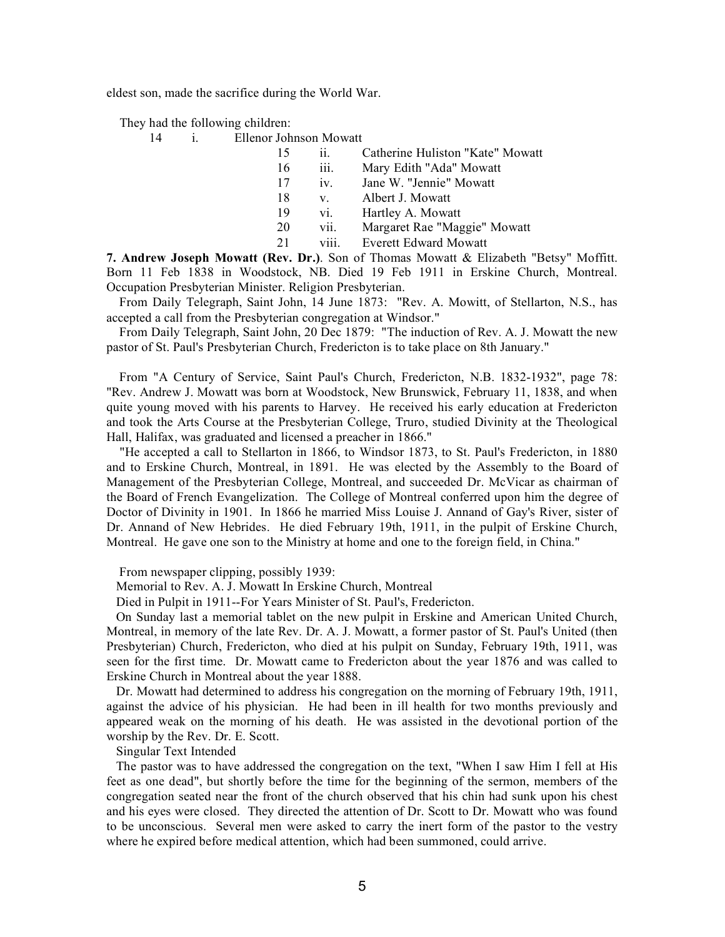eldest son, made the sacrifice during the World War.

They had the following children:

| 14 | Ellenor Johnson Mowatt |
|----|------------------------|
|    |                        |

| 15 | 11              | Catherine Huliston "Kate" Mowatt |
|----|-----------------|----------------------------------|
| 16 | iii.            | Mary Edith "Ada" Mowatt          |
| 17 | 1V <sub>1</sub> | Jane W. "Jennie" Mowatt          |
| 18 | V               | Albert J. Mowatt                 |
| 19 | vi.             | Hartley A. Mowatt                |
| 20 | vii.            | Margaret Rae "Maggie" Mowatt     |
| 21 | viii.           | <b>Everett Edward Mowatt</b>     |

**7. Andrew Joseph Mowatt (Rev. Dr.)**. Son of Thomas Mowatt & Elizabeth "Betsy" Moffitt. Born 11 Feb 1838 in Woodstock, NB. Died 19 Feb 1911 in Erskine Church, Montreal. Occupation Presbyterian Minister. Religion Presbyterian.

From Daily Telegraph, Saint John, 14 June 1873: "Rev. A. Mowitt, of Stellarton, N.S., has accepted a call from the Presbyterian congregation at Windsor."

From Daily Telegraph, Saint John, 20 Dec 1879: "The induction of Rev. A. J. Mowatt the new pastor of St. Paul's Presbyterian Church, Fredericton is to take place on 8th January."

From "A Century of Service, Saint Paul's Church, Fredericton, N.B. 1832-1932", page 78: "Rev. Andrew J. Mowatt was born at Woodstock, New Brunswick, February 11, 1838, and when quite young moved with his parents to Harvey. He received his early education at Fredericton and took the Arts Course at the Presbyterian College, Truro, studied Divinity at the Theological Hall, Halifax, was graduated and licensed a preacher in 1866."

"He accepted a call to Stellarton in 1866, to Windsor 1873, to St. Paul's Fredericton, in 1880 and to Erskine Church, Montreal, in 1891. He was elected by the Assembly to the Board of Management of the Presbyterian College, Montreal, and succeeded Dr. McVicar as chairman of the Board of French Evangelization. The College of Montreal conferred upon him the degree of Doctor of Divinity in 1901. In 1866 he married Miss Louise J. Annand of Gay's River, sister of Dr. Annand of New Hebrides. He died February 19th, 1911, in the pulpit of Erskine Church, Montreal. He gave one son to the Ministry at home and one to the foreign field, in China."

From newspaper clipping, possibly 1939:

Memorial to Rev. A. J. Mowatt In Erskine Church, Montreal

Died in Pulpit in 1911--For Years Minister of St. Paul's, Fredericton.

On Sunday last a memorial tablet on the new pulpit in Erskine and American United Church, Montreal, in memory of the late Rev. Dr. A. J. Mowatt, a former pastor of St. Paul's United (then Presbyterian) Church, Fredericton, who died at his pulpit on Sunday, February 19th, 1911, was seen for the first time. Dr. Mowatt came to Fredericton about the year 1876 and was called to Erskine Church in Montreal about the year 1888.

Dr. Mowatt had determined to address his congregation on the morning of February 19th, 1911, against the advice of his physician. He had been in ill health for two months previously and appeared weak on the morning of his death. He was assisted in the devotional portion of the worship by the Rev. Dr. E. Scott.

Singular Text Intended

The pastor was to have addressed the congregation on the text, "When I saw Him I fell at His feet as one dead", but shortly before the time for the beginning of the sermon, members of the congregation seated near the front of the church observed that his chin had sunk upon his chest and his eyes were closed. They directed the attention of Dr. Scott to Dr. Mowatt who was found to be unconscious. Several men were asked to carry the inert form of the pastor to the vestry where he expired before medical attention, which had been summoned, could arrive.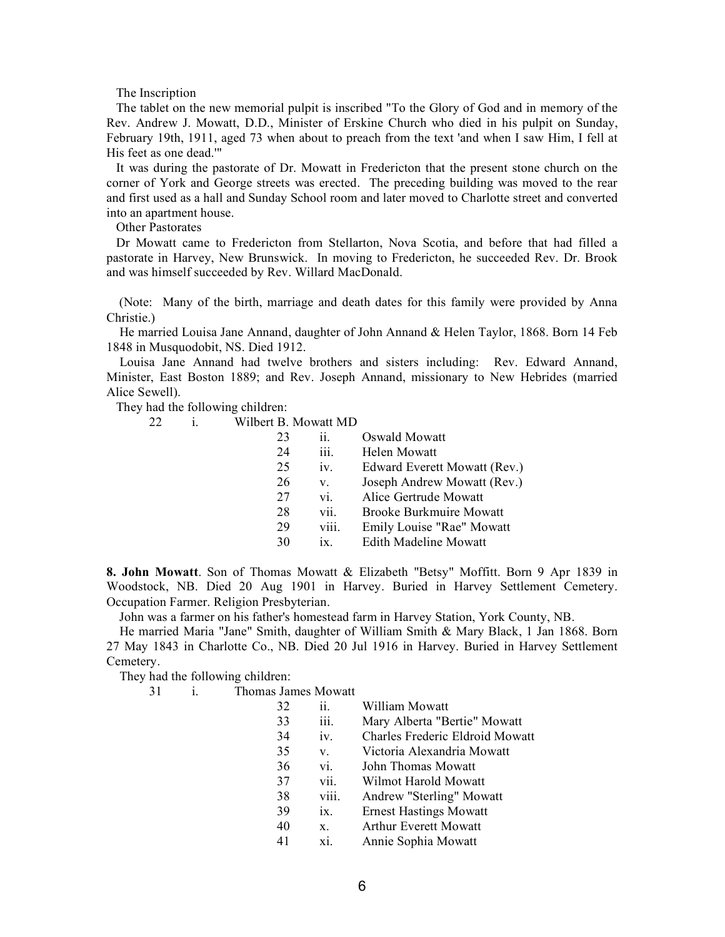The Inscription

The tablet on the new memorial pulpit is inscribed "To the Glory of God and in memory of the Rev. Andrew J. Mowatt, D.D., Minister of Erskine Church who died in his pulpit on Sunday, February 19th, 1911, aged 73 when about to preach from the text 'and when I saw Him, I fell at His feet as one dead.'"

It was during the pastorate of Dr. Mowatt in Fredericton that the present stone church on the corner of York and George streets was erected. The preceding building was moved to the rear and first used as a hall and Sunday School room and later moved to Charlotte street and converted into an apartment house.

Other Pastorates

Dr Mowatt came to Fredericton from Stellarton, Nova Scotia, and before that had filled a pastorate in Harvey, New Brunswick. In moving to Fredericton, he succeeded Rev. Dr. Brook and was himself succeeded by Rev. Willard MacDonald.

(Note: Many of the birth, marriage and death dates for this family were provided by Anna Christie.)

He married Louisa Jane Annand, daughter of John Annand & Helen Taylor, 1868. Born 14 Feb 1848 in Musquodobit, NS. Died 1912.

Louisa Jane Annand had twelve brothers and sisters including: Rev. Edward Annand, Minister, East Boston 1889; and Rev. Joseph Annand, missionary to New Hebrides (married Alice Sewell).

They had the following children:

22 i. Wilbert B. Mowatt MD

| 23 | ii.   | Oswald Mowatt                  |
|----|-------|--------------------------------|
| 24 | iii.  | Helen Mowatt                   |
| 25 | iv.   | Edward Everett Mowatt (Rev.)   |
| 26 | V.    | Joseph Andrew Mowatt (Rev.)    |
| 27 | vi.   | Alice Gertrude Mowatt          |
| 28 | vii.  | <b>Brooke Burkmuire Mowatt</b> |
| 29 | viii. | Emily Louise "Rae" Mowatt      |
| 30 | ix    | <b>Edith Madeline Mowatt</b>   |

**8. John Mowatt**. Son of Thomas Mowatt & Elizabeth "Betsy" Moffitt. Born 9 Apr 1839 in Woodstock, NB. Died 20 Aug 1901 in Harvey. Buried in Harvey Settlement Cemetery. Occupation Farmer. Religion Presbyterian.

John was a farmer on his father's homestead farm in Harvey Station, York County, NB.

He married Maria "Jane" Smith, daughter of William Smith & Mary Black, 1 Jan 1868. Born 27 May 1843 in Charlotte Co., NB. Died 20 Jul 1916 in Harvey. Buried in Harvey Settlement Cemetery.

They had the following children:

| 31 | Thomas James Mowatt |
|----|---------------------|
|    |                     |

| 32 | ii.               | William Mowatt                  |
|----|-------------------|---------------------------------|
| 33 | iii.              | Mary Alberta "Bertie" Mowatt    |
| 34 | 1V.               | Charles Frederic Eldroid Mowatt |
| 35 | V.                | Victoria Alexandria Mowatt      |
| 36 | vi.               | John Thomas Mowatt              |
| 37 | vii.              | Wilmot Harold Mowatt            |
| 38 | viii.             | Andrew "Sterling" Mowatt        |
| 39 | $\overline{1}X$ . | <b>Ernest Hastings Mowatt</b>   |
| 40 | $X_{-}$           | <b>Arthur Everett Mowatt</b>    |
| 41 | xi.               | Annie Sophia Mowatt             |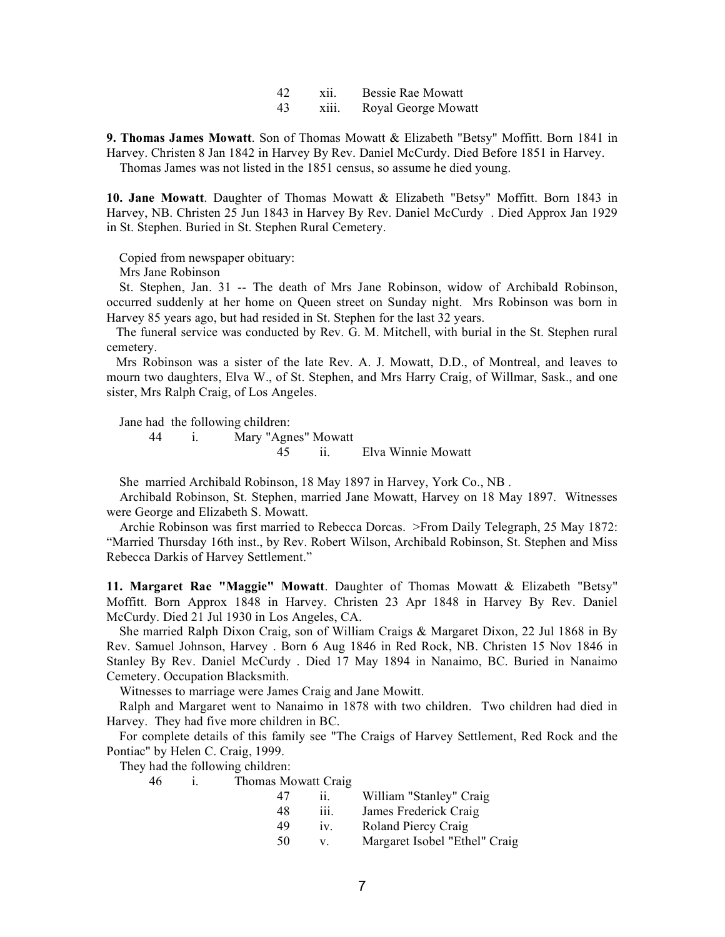| 42 | X11.  | Bessie Rae Mowatt   |
|----|-------|---------------------|
| 43 | X111. | Royal George Mowatt |

**9. Thomas James Mowatt**. Son of Thomas Mowatt & Elizabeth "Betsy" Moffitt. Born 1841 in Harvey. Christen 8 Jan 1842 in Harvey By Rev. Daniel McCurdy. Died Before 1851 in Harvey.

Thomas James was not listed in the 1851 census, so assume he died young.

**10. Jane Mowatt**. Daughter of Thomas Mowatt & Elizabeth "Betsy" Moffitt. Born 1843 in Harvey, NB. Christen 25 Jun 1843 in Harvey By Rev. Daniel McCurdy . Died Approx Jan 1929 in St. Stephen. Buried in St. Stephen Rural Cemetery.

Copied from newspaper obituary:

Mrs Jane Robinson

St. Stephen, Jan. 31 -- The death of Mrs Jane Robinson, widow of Archibald Robinson, occurred suddenly at her home on Queen street on Sunday night. Mrs Robinson was born in Harvey 85 years ago, but had resided in St. Stephen for the last 32 years.

The funeral service was conducted by Rev. G. M. Mitchell, with burial in the St. Stephen rural cemetery.

Mrs Robinson was a sister of the late Rev. A. J. Mowatt, D.D., of Montreal, and leaves to mourn two daughters, Elva W., of St. Stephen, and Mrs Harry Craig, of Willmar, Sask., and one sister, Mrs Ralph Craig, of Los Angeles.

Jane had the following children:

44 i. Mary "Agnes" Mowatt

45 ii. Elva Winnie Mowatt

She married Archibald Robinson, 18 May 1897 in Harvey, York Co., NB .

Archibald Robinson, St. Stephen, married Jane Mowatt, Harvey on 18 May 1897. Witnesses were George and Elizabeth S. Mowatt.

Archie Robinson was first married to Rebecca Dorcas. >From Daily Telegraph, 25 May 1872: "Married Thursday 16th inst., by Rev. Robert Wilson, Archibald Robinson, St. Stephen and Miss Rebecca Darkis of Harvey Settlement."

**11. Margaret Rae "Maggie" Mowatt**. Daughter of Thomas Mowatt & Elizabeth "Betsy" Moffitt. Born Approx 1848 in Harvey. Christen 23 Apr 1848 in Harvey By Rev. Daniel McCurdy. Died 21 Jul 1930 in Los Angeles, CA.

She married Ralph Dixon Craig, son of William Craigs & Margaret Dixon, 22 Jul 1868 in By Rev. Samuel Johnson, Harvey . Born 6 Aug 1846 in Red Rock, NB. Christen 15 Nov 1846 in Stanley By Rev. Daniel McCurdy . Died 17 May 1894 in Nanaimo, BC. Buried in Nanaimo Cemetery. Occupation Blacksmith.

Witnesses to marriage were James Craig and Jane Mowitt.

Ralph and Margaret went to Nanaimo in 1878 with two children. Two children had died in Harvey. They had five more children in BC.

For complete details of this family see "The Craigs of Harvey Settlement, Red Rock and the Pontiac" by Helen C. Craig, 1999.

They had the following children:

46 i. Thomas Mowatt Craig

| 47 | 11.             | William "Stanley" Craig       |
|----|-----------------|-------------------------------|
| 48 | 111.            | James Frederick Craig         |
| 49 | 1V <sub>1</sub> | Roland Piercy Craig           |
| 50 | V               | Margaret Isobel "Ethel" Craig |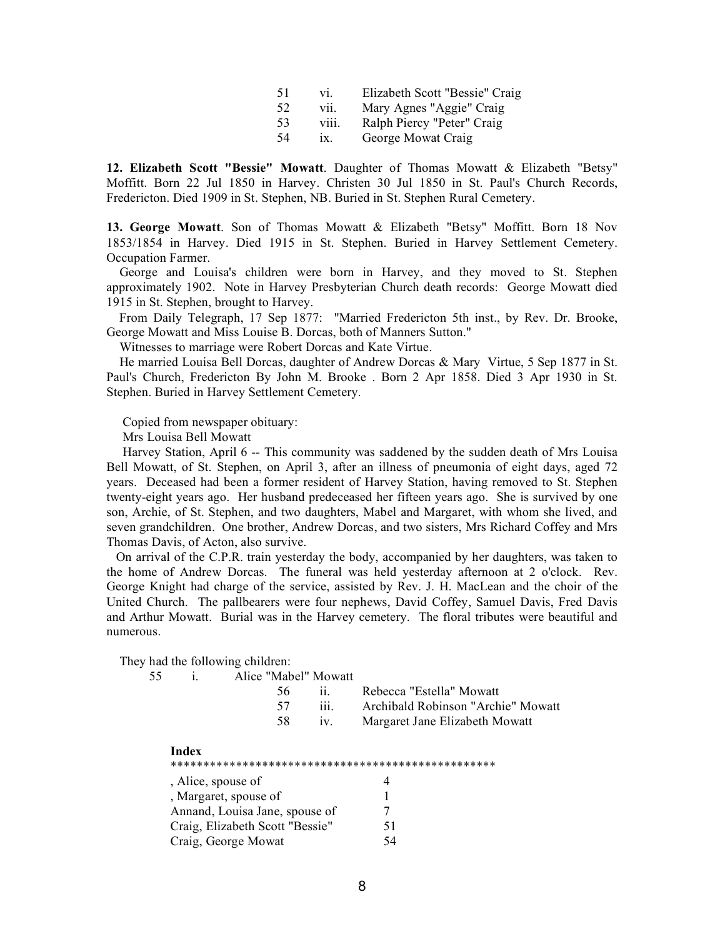| 51  | V1.               | Elizabeth Scott "Bessie" Craig |
|-----|-------------------|--------------------------------|
| 52  | vii.              | Mary Agnes "Aggie" Craig       |
| 53  | V111.             | Ralph Piercy "Peter" Craig     |
| -54 | $\overline{1}x$ . | George Mowat Craig             |

**12. Elizabeth Scott "Bessie" Mowatt**. Daughter of Thomas Mowatt & Elizabeth "Betsy" Moffitt. Born 22 Jul 1850 in Harvey. Christen 30 Jul 1850 in St. Paul's Church Records, Fredericton. Died 1909 in St. Stephen, NB. Buried in St. Stephen Rural Cemetery.

**13. George Mowatt**. Son of Thomas Mowatt & Elizabeth "Betsy" Moffitt. Born 18 Nov 1853/1854 in Harvey. Died 1915 in St. Stephen. Buried in Harvey Settlement Cemetery. Occupation Farmer.

George and Louisa's children were born in Harvey, and they moved to St. Stephen approximately 1902. Note in Harvey Presbyterian Church death records: George Mowatt died 1915 in St. Stephen, brought to Harvey.

From Daily Telegraph, 17 Sep 1877: "Married Fredericton 5th inst., by Rev. Dr. Brooke, George Mowatt and Miss Louise B. Dorcas, both of Manners Sutton."

Witnesses to marriage were Robert Dorcas and Kate Virtue.

He married Louisa Bell Dorcas, daughter of Andrew Dorcas & Mary Virtue, 5 Sep 1877 in St. Paul's Church, Fredericton By John M. Brooke . Born 2 Apr 1858. Died 3 Apr 1930 in St. Stephen. Buried in Harvey Settlement Cemetery.

Copied from newspaper obituary:

Mrs Louisa Bell Mowatt

Harvey Station, April 6 -- This community was saddened by the sudden death of Mrs Louisa Bell Mowatt, of St. Stephen, on April 3, after an illness of pneumonia of eight days, aged 72 years. Deceased had been a former resident of Harvey Station, having removed to St. Stephen twenty-eight years ago. Her husband predeceased her fifteen years ago. She is survived by one son, Archie, of St. Stephen, and two daughters, Mabel and Margaret, with whom she lived, and seven grandchildren. One brother, Andrew Dorcas, and two sisters, Mrs Richard Coffey and Mrs Thomas Davis, of Acton, also survive.

On arrival of the C.P.R. train yesterday the body, accompanied by her daughters, was taken to the home of Andrew Dorcas. The funeral was held yesterday afternoon at 2 o'clock. Rev. George Knight had charge of the service, assisted by Rev. J. H. MacLean and the choir of the United Church. The pallbearers were four nephews, David Coffey, Samuel Davis, Fred Davis and Arthur Mowatt. Burial was in the Harvey cemetery. The floral tributes were beautiful and numerous.

They had the following children:

| 55 |                       | Alice "Mabel" Mowatt            |                 |                                    |
|----|-----------------------|---------------------------------|-----------------|------------------------------------|
|    |                       | 56                              | 11.             | Rebecca "Estella" Mowatt           |
|    |                       | 57                              | 111.            | Archibald Robinson "Archie" Mowatt |
|    |                       | 58                              | 1V <sub>1</sub> | Margaret Jane Elizabeth Mowatt     |
|    | Index                 |                                 |                 |                                    |
|    |                       |                                 |                 |                                    |
|    | , Alice, spouse of    |                                 |                 | 4                                  |
|    | , Margaret, spouse of |                                 |                 |                                    |
|    |                       | Annand, Louisa Jane, spouse of  |                 |                                    |
|    |                       | Craig, Elizabeth Scott "Bessie" |                 | 51                                 |
|    | Craig, George Mowat   |                                 |                 | 54                                 |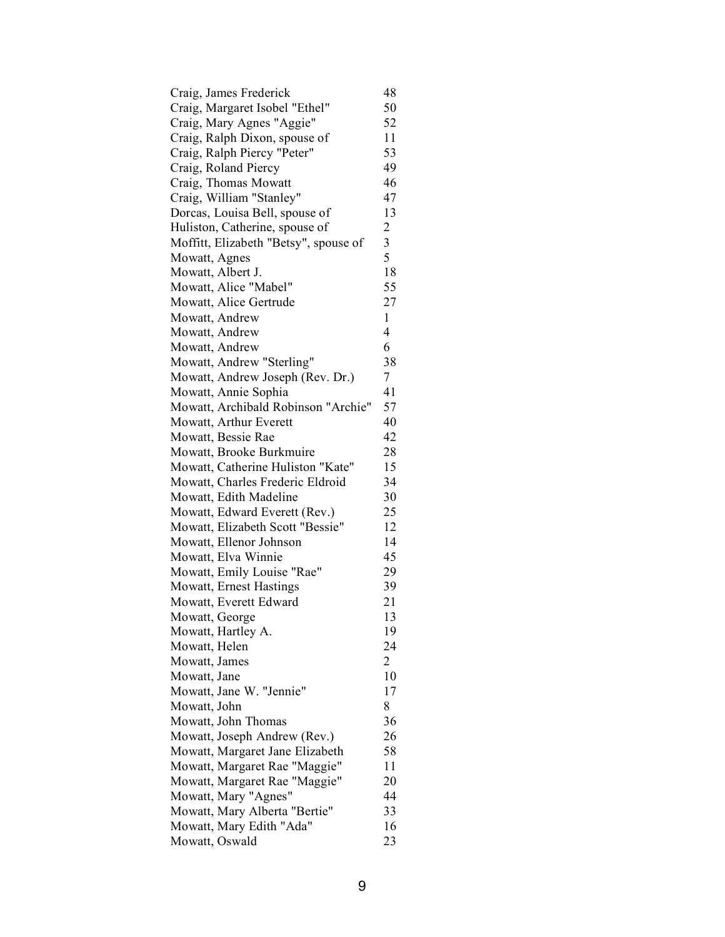| Craig, James Frederick                | 48                      |
|---------------------------------------|-------------------------|
| Craig, Margaret Isobel "Ethel"        | 50                      |
| Craig, Mary Agnes "Aggie"             | 52                      |
| Craig, Ralph Dixon, spouse of         | 11                      |
| Craig, Ralph Piercy "Peter"           | 53                      |
| Craig, Roland Piercy                  | 49                      |
| Craig, Thomas Mowatt                  | 46                      |
| Craig, William "Stanley"              | 47                      |
| Dorcas, Louisa Bell, spouse of        | 13                      |
| Huliston, Catherine, spouse of        | $\overline{\mathbf{c}}$ |
| Moffitt, Elizabeth "Betsy", spouse of | $\overline{\mathbf{3}}$ |
| Mowatt, Agnes                         | 5                       |
| Mowatt, Albert J.                     | 18                      |
| Mowatt, Alice "Mabel"                 | 55                      |
| Mowatt, Alice Gertrude                | 27                      |
| Mowatt, Andrew                        | $\mathbf{1}$            |
| Mowatt, Andrew                        | $\overline{4}$          |
| Mowatt, Andrew                        | 6                       |
| Mowatt, Andrew "Sterling"             | 38                      |
| Mowatt, Andrew Joseph (Rev. Dr.)      | 7                       |
| Mowatt, Annie Sophia                  | 41                      |
| Mowatt, Archibald Robinson "Archie"   | 57                      |
| Mowatt, Arthur Everett                | 40                      |
| Mowatt, Bessie Rae                    | 42                      |
| Mowatt, Brooke Burkmuire              | 28                      |
| Mowatt, Catherine Huliston "Kate"     | 15                      |
| Mowatt, Charles Frederic Eldroid      | 34                      |
| Mowatt, Edith Madeline                | 30                      |
| Mowatt, Edward Everett (Rev.)         | 25                      |
| Mowatt, Elizabeth Scott "Bessie"      | 12                      |
| Mowatt, Ellenor Johnson               | 14                      |
| Mowatt, Elva Winnie                   | 45                      |
| Mowatt, Emily Louise "Rae"            | 29                      |
| <b>Mowatt, Ernest Hastings</b>        | 39                      |
| Mowatt, Everett Edward                | 21                      |
| Mowatt, George                        | 13                      |
| Mowatt, Hartley A.                    | 19                      |
| Mowatt, Helen                         | 24                      |
| Mowatt, James                         | 2                       |
| Mowatt, Jane                          | 10                      |
| Mowatt, Jane W. "Jennie"              | 17                      |
| Mowatt, John                          | 8                       |
| Mowatt, John Thomas                   | 36                      |
| Mowatt, Joseph Andrew (Rev.)          | 26                      |
| Mowatt, Margaret Jane Elizabeth       | 58                      |
| Mowatt, Margaret Rae "Maggie"         | 11                      |
| Mowatt, Margaret Rae "Maggie"         | 20                      |
| Mowatt, Mary "Agnes"                  | 44                      |
| Mowatt, Mary Alberta "Bertie"         | 33                      |
| Mowatt, Mary Edith "Ada"              | 16                      |
| Mowatt, Oswald                        | 23                      |
|                                       |                         |